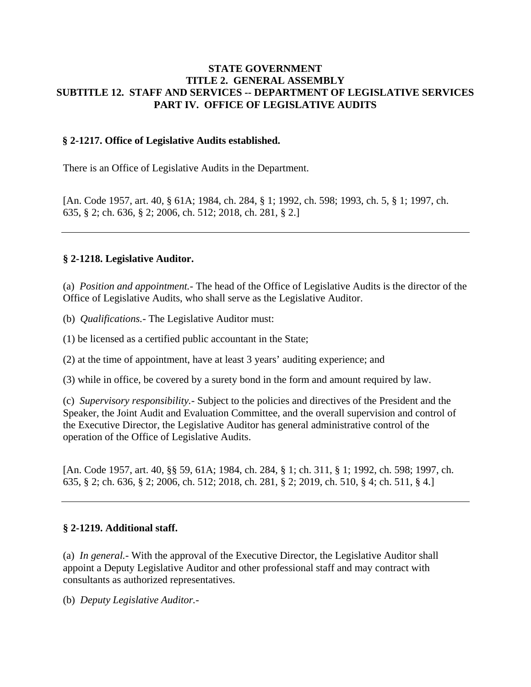#### **STATE GOVERNMENT TITLE 2. GENERAL ASSEMBLY SUBTITLE 12. STAFF AND SERVICES -- DEPARTMENT OF LEGISLATIVE SERVICES PART IV. OFFICE OF LEGISLATIVE AUDITS**

#### **§ 2-1217. Office of Legislative Audits established.**

There is an Office of Legislative Audits in the Department.

[An. Code 1957, art. 40, § 61A; 1984, ch. 284, § 1; 1992, ch. 598; 1993, ch. 5, § 1; 1997, ch. 635, § 2; ch. 636, § 2; 2006, ch. 512; 2018, ch. 281, § 2.]

#### **§ 2-1218. Legislative Auditor.**

(a) *Position and appointment.-* The head of the Office of Legislative Audits is the director of the Office of Legislative Audits, who shall serve as the Legislative Auditor.

(b) *Qualifications.-* The Legislative Auditor must:

(1) be licensed as a certified public accountant in the State;

(2) at the time of appointment, have at least 3 years' auditing experience; and

(3) while in office, be covered by a surety bond in the form and amount required by law.

(c) *Supervisory responsibility.-* Subject to the policies and directives of the President and the Speaker, the Joint Audit and Evaluation Committee, and the overall supervision and control of the Executive Director, the Legislative Auditor has general administrative control of the operation of the Office of Legislative Audits.

[An. Code 1957, art. 40, §§ 59, 61A; 1984, ch. 284, § 1; ch. 311, § 1; 1992, ch. 598; 1997, ch. 635, § 2; ch. 636, § 2; 2006, ch. 512; 2018, ch. 281, § 2; 2019, ch. 510, § 4; ch. 511, § 4.]

#### **§ 2-1219. Additional staff.**

(a) *In general.-* With the approval of the Executive Director, the Legislative Auditor shall appoint a Deputy Legislative Auditor and other professional staff and may contract with consultants as authorized representatives.

(b) *Deputy Legislative Auditor.-*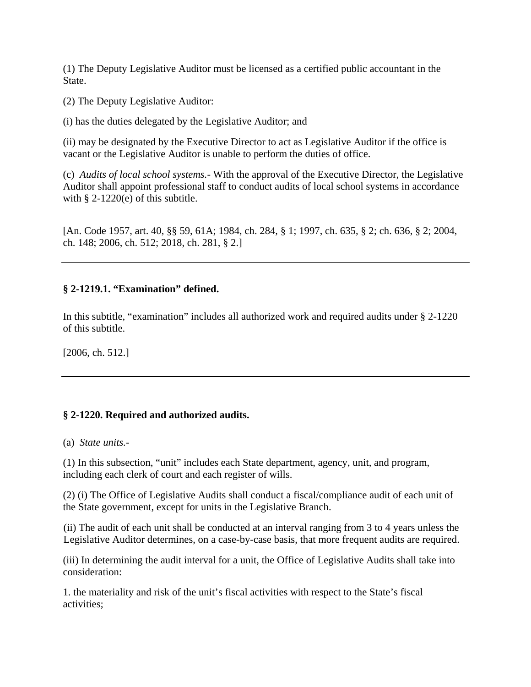(1) The Deputy Legislative Auditor must be licensed as a certified public accountant in the State.

(2) The Deputy Legislative Auditor:

(i) has the duties delegated by the Legislative Auditor; and

(ii) may be designated by the Executive Director to act as Legislative Auditor if the office is vacant or the Legislative Auditor is unable to perform the duties of office.

(c) *Audits of local school systems.-* With the approval of the Executive Director, the Legislative Auditor shall appoint professional staff to conduct audits of local school systems in accordance with  $\S$  2-1220(e) of this subtitle.

[An. Code 1957, art. 40, §§ 59, 61A; 1984, ch. 284, § 1; 1997, ch. 635, § 2; ch. 636, § 2; 2004, ch. 148; 2006, ch. 512; 2018, ch. 281, § 2.]

# **§ 2-1219.1. "Examination" defined.**

In this subtitle, "examination" includes all authorized work and required audits under § 2-1220 of this subtitle.

[2006, ch. 512.]

# **§ 2-1220. Required and authorized audits.**

(a) *State units.-*

(1) In this subsection, "unit" includes each State department, agency, unit, and program, including each clerk of court and each register of wills.

(2) (i) The Office of Legislative Audits shall conduct a fiscal/compliance audit of each unit of the State government, except for units in the Legislative Branch.

(ii) The audit of each unit shall be conducted at an interval ranging from 3 to 4 years unless the Legislative Auditor determines, on a case-by-case basis, that more frequent audits are required.

(iii) In determining the audit interval for a unit, the Office of Legislative Audits shall take into consideration:

1. the materiality and risk of the unit's fiscal activities with respect to the State's fiscal activities;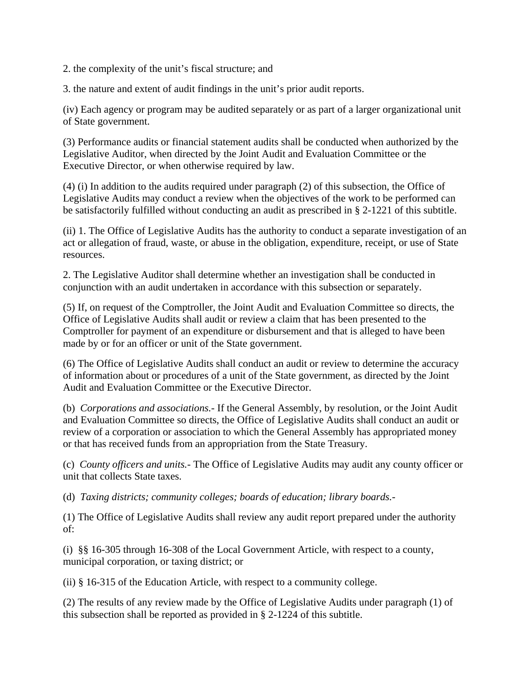2. the complexity of the unit's fiscal structure; and

3. the nature and extent of audit findings in the unit's prior audit reports.

(iv) Each agency or program may be audited separately or as part of a larger organizational unit of State government.

(3) Performance audits or financial statement audits shall be conducted when authorized by the Legislative Auditor, when directed by the Joint Audit and Evaluation Committee or the Executive Director, or when otherwise required by law.

(4) (i) In addition to the audits required under paragraph (2) of this subsection, the Office of Legislative Audits may conduct a review when the objectives of the work to be performed can be satisfactorily fulfilled without conducting an audit as prescribed in § 2-1221 of this subtitle.

(ii) 1. The Office of Legislative Audits has the authority to conduct a separate investigation of an act or allegation of fraud, waste, or abuse in the obligation, expenditure, receipt, or use of State resources.

2. The Legislative Auditor shall determine whether an investigation shall be conducted in conjunction with an audit undertaken in accordance with this subsection or separately.

(5) If, on request of the Comptroller, the Joint Audit and Evaluation Committee so directs, the Office of Legislative Audits shall audit or review a claim that has been presented to the Comptroller for payment of an expenditure or disbursement and that is alleged to have been made by or for an officer or unit of the State government.

(6) The Office of Legislative Audits shall conduct an audit or review to determine the accuracy of information about or procedures of a unit of the State government, as directed by the Joint Audit and Evaluation Committee or the Executive Director.

(b) *Corporations and associations.-* If the General Assembly, by resolution, or the Joint Audit and Evaluation Committee so directs, the Office of Legislative Audits shall conduct an audit or review of a corporation or association to which the General Assembly has appropriated money or that has received funds from an appropriation from the State Treasury.

(c) *County officers and units.-* The Office of Legislative Audits may audit any county officer or unit that collects State taxes.

(d) *Taxing districts; community colleges; boards of education; library boards.-*

(1) The Office of Legislative Audits shall review any audit report prepared under the authority of:

(i) §§ 16-305 through 16-308 of the Local Government Article, with respect to a county, municipal corporation, or taxing district; or

(ii) § [16-315 of the](http://michie.lexisnexis.com/maryland/lpext.dll?f=FifLink&t=document-frame.htm&l=jump&iid=1ff31d4b.633913b9.0.0&nid=645f#JD_ed16-315) [Education Article,](http://michie.lexisnexis.com/maryland/lpext.dll?f=FifLink&t=document-frame.htm&l=jump&iid=1ff31d4b.633913b9.0.0&nid=77#JD_ed) with respect to a community college.

(2) The results of any review made by the Office of Legislative Audits under paragraph (1) of this subsection shall be reported as provided in § 2-1224 of this subtitle.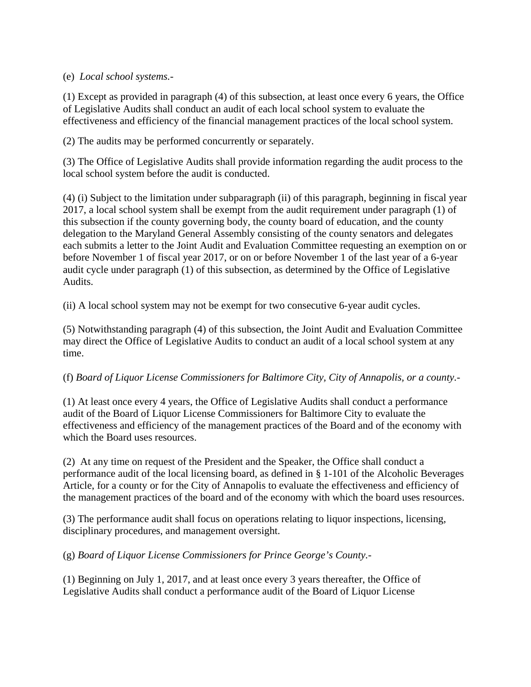# (e) *Local school systems.-*

(1) Except as provided in paragraph (4) of this subsection, at least once every 6 years, the Office of Legislative Audits shall conduct an audit of each local school system to evaluate the effectiveness and efficiency of the financial management practices of the local school system.

(2) The audits may be performed concurrently or separately.

(3) The Office of Legislative Audits shall provide information regarding the audit process to the local school system before the audit is conducted.

(4) (i) Subject to the limitation under subparagraph (ii) of this paragraph, beginning in fiscal year 2017, a local school system shall be exempt from the audit requirement under paragraph (1) of this subsection if the county governing body, the county board of education, and the county delegation to the Maryland General Assembly consisting of the county senators and delegates each submits a letter to the Joint Audit and Evaluation Committee requesting an exemption on or before November 1 of fiscal year 2017, or on or before November 1 of the last year of a 6-year audit cycle under paragraph (1) of this subsection, as determined by the Office of Legislative Audits.

(ii) A local school system may not be exempt for two consecutive 6-year audit cycles.

(5) Notwithstanding paragraph (4) of this subsection, the Joint Audit and Evaluation Committee may direct the Office of Legislative Audits to conduct an audit of a local school system at any time.

# (f) *Board of Liquor License Commissioners for Baltimore City, City of Annapolis, or a county.-*

(1) At least once every 4 years, the Office of Legislative Audits shall conduct a performance audit of the Board of Liquor License Commissioners for Baltimore City to evaluate the effectiveness and efficiency of the management practices of the Board and of the economy with which the Board uses resources.

(2) At any time on request of the President and the Speaker, the Office shall conduct a performance audit of the local licensing board, as defined in § 1-101 of the Alcoholic Beverages Article, for a county or for the City of Annapolis to evaluate the effectiveness and efficiency of the management practices of the board and of the economy with which the board uses resources.

(3) The performance audit shall focus on operations relating to liquor inspections, licensing, disciplinary procedures, and management oversight.

(g) *Board of Liquor License Commissioners for Prince George's County.-*

(1) Beginning on July 1, 2017, and at least once every 3 years thereafter, the Office of Legislative Audits shall conduct a performance audit of the Board of Liquor License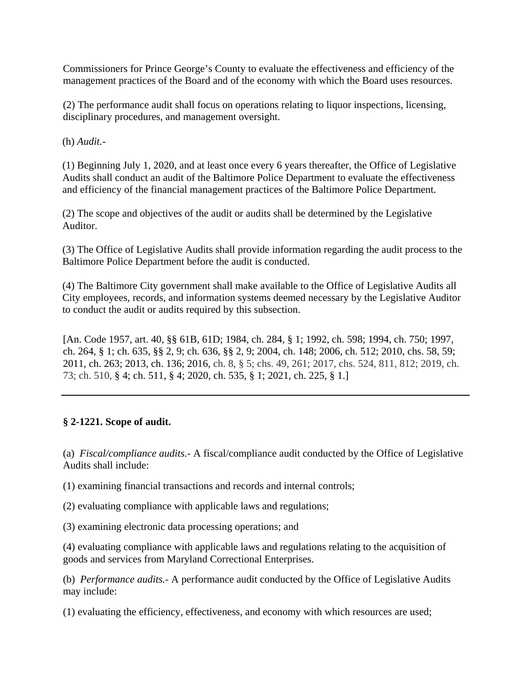Commissioners for Prince George's County to evaluate the effectiveness and efficiency of the management practices of the Board and of the economy with which the Board uses resources.

(2) The performance audit shall focus on operations relating to liquor inspections, licensing, disciplinary procedures, and management oversight.

(h) *Audit.-*

(1) Beginning July 1, 2020, and at least once every 6 years thereafter, the Office of Legislative Audits shall conduct an audit of the Baltimore Police Department to evaluate the effectiveness and efficiency of the financial management practices of the Baltimore Police Department.

(2) The scope and objectives of the audit or audits shall be determined by the Legislative Auditor.

(3) The Office of Legislative Audits shall provide information regarding the audit process to the Baltimore Police Department before the audit is conducted.

(4) The Baltimore City government shall make available to the Office of Legislative Audits all City employees, records, and information systems deemed necessary by the Legislative Auditor to conduct the audit or audits required by this subsection.

[An. Code 1957, art. 40, §§ 61B, 61D; 1984, ch. 284, § 1; 1992, ch. 598; 1994, ch. 750; 1997, ch. 264, § 1; ch. 635, §§ 2, 9; ch. 636, §§ 2, 9; 2004, ch. 148; 2006, ch. 512; 2010, chs. 58, 59; 2011, ch. 263; 2013, ch. 136; 2016, ch. 8, § 5; chs. 49, 261; 2017, chs. 524, 811, 812; 2019, ch. 73; ch. 510, § 4; ch. 511, § 4; 2020, ch. 535, § 1; 2021, ch. 225, § 1.]

# **§ 2-1221. Scope of audit.**

(a) *Fiscal/compliance audits.-* A fiscal/compliance audit conducted by the Office of Legislative Audits shall include:

(1) examining financial transactions and records and internal controls;

(2) evaluating compliance with applicable laws and regulations;

(3) examining electronic data processing operations; and

(4) evaluating compliance with applicable laws and regulations relating to the acquisition of goods and services from Maryland Correctional Enterprises.

(b) *Performance audits.-* A performance audit conducted by the Office of Legislative Audits may include:

(1) evaluating the efficiency, effectiveness, and economy with which resources are used;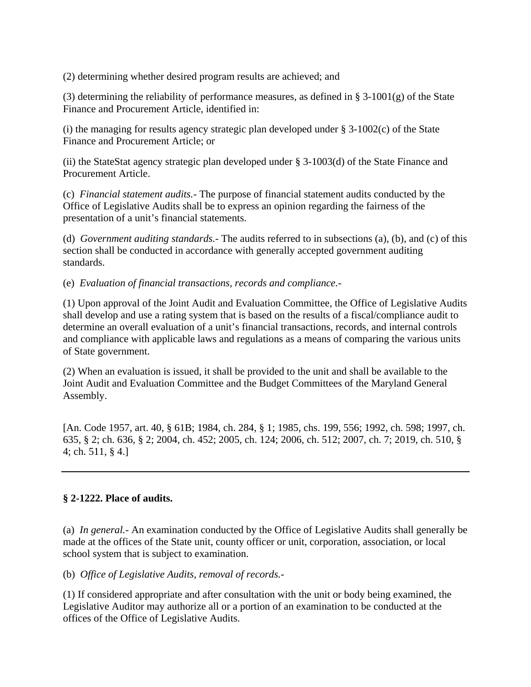(2) determining whether desired program results are achieved; and

(3) determining the reliability of performance measures, as defined in § 3-1001(g) of the State Finance and Procurement Article, identified in:

(i) the managing for results agency strategic plan developed under  $\S$  3-1002(c) of the State Finance and Procurement Article; or

(ii) the StateStat agency strategic plan developed under § 3-1003(d) of the State Finance and Procurement Article.

(c) *Financial statement audits.-* The purpose of financial statement audits conducted by the Office of Legislative Audits shall be to express an opinion regarding the fairness of the presentation of a unit's financial statements.

(d) *Government auditing standards.-* The audits referred to in subsections (a), (b), and (c) of this section shall be conducted in accordance with generally accepted government auditing standards.

(e) *Evaluation of financial transactions, records and compliance.-*

(1) Upon approval of the Joint Audit and Evaluation Committee, the Office of Legislative Audits shall develop and use a rating system that is based on the results of a fiscal/compliance audit to determine an overall evaluation of a unit's financial transactions, records, and internal controls and compliance with applicable laws and regulations as a means of comparing the various units of State government.

(2) When an evaluation is issued, it shall be provided to the unit and shall be available to the Joint Audit and Evaluation Committee and the Budget Committees of the Maryland General Assembly.

[An. Code 1957, art. 40, § 61B; 1984, ch. 284, § 1; 1985, chs. 199, 556; 1992, ch. 598; 1997, ch. 635, § 2; ch. 636, § 2; 2004, ch. 452; 2005, ch. 124; 2006, ch. 512; 2007, ch. 7; 2019, ch. 510, § 4; ch. 511, § 4.]

# **§ 2-1222. Place of audits.**

(a) *In general.-* An examination conducted by the Office of Legislative Audits shall generally be made at the offices of the State unit, county officer or unit, corporation, association, or local school system that is subject to examination.

(b) *Office of Legislative Audits, removal of records.-*

(1) If considered appropriate and after consultation with the unit or body being examined, the Legislative Auditor may authorize all or a portion of an examination to be conducted at the offices of the Office of Legislative Audits.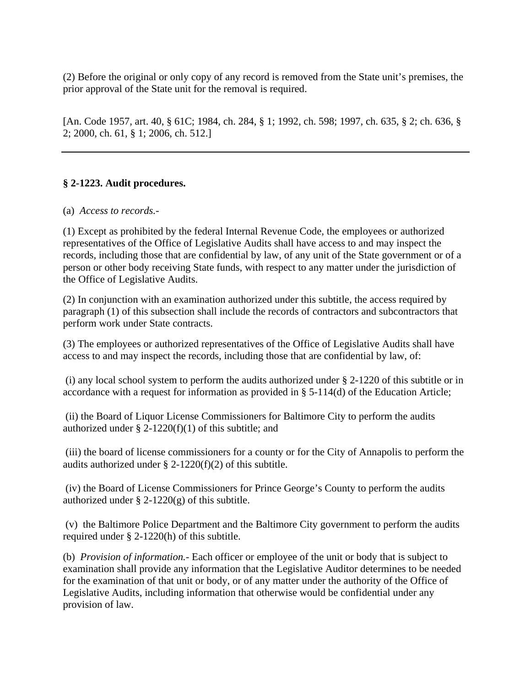(2) Before the original or only copy of any record is removed from the State unit's premises, the prior approval of the State unit for the removal is required.

[An. Code 1957, art. 40, § 61C; 1984, ch. 284, § 1; 1992, ch. 598; 1997, ch. 635, § 2; ch. 636, § 2; 2000, ch. 61, § 1; 2006, ch. 512.]

# **§ 2-1223. Audit procedures.**

#### (a) *Access to records.-*

(1) Except as prohibited by the federal Internal Revenue Code, the employees or authorized representatives of the Office of Legislative Audits shall have access to and may inspect the records, including those that are confidential by law, of any unit of the State government or of a person or other body receiving State funds, with respect to any matter under the jurisdiction of the Office of Legislative Audits.

(2) In conjunction with an examination authorized under this subtitle, the access required by paragraph (1) of this subsection shall include the records of contractors and subcontractors that perform work under State contracts.

(3) The employees or authorized representatives of the Office of Legislative Audits shall have access to and may inspect the records, including those that are confidential by law, of:

(i) any local school system to perform the audits authorized under § 2-1220 of this subtitle or in accordance with a request for information as provided in § 5-114(d) of the Education Article;

(ii) the Board of Liquor License Commissioners for Baltimore City to perform the audits authorized under  $\S$  2-1220(f)(1) of this subtitle; and

(iii) the board of license commissioners for a county or for the City of Annapolis to perform the audits authorized under § 2-1220(f)(2) of this subtitle.

(iv) the Board of License Commissioners for Prince George's County to perform the audits authorized under  $\S$  2-1220(g) of this subtitle.

(v) the Baltimore Police Department and the Baltimore City government to perform the audits required under § 2-1220(h) of this subtitle.

(b) *Provision of information.-* Each officer or employee of the unit or body that is subject to examination shall provide any information that the Legislative Auditor determines to be needed for the examination of that unit or body, or of any matter under the authority of the Office of Legislative Audits, including information that otherwise would be confidential under any provision of law.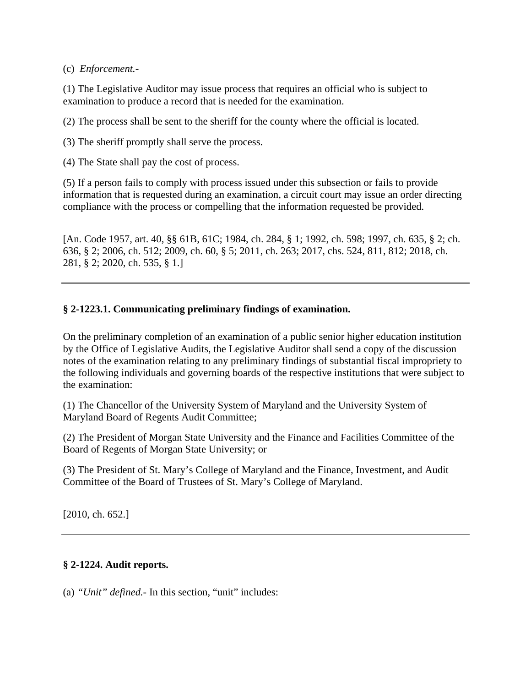#### (c) *Enforcement.-*

(1) The Legislative Auditor may issue process that requires an official who is subject to examination to produce a record that is needed for the examination.

(2) The process shall be sent to the sheriff for the county where the official is located.

(3) The sheriff promptly shall serve the process.

(4) The State shall pay the cost of process.

(5) If a person fails to comply with process issued under this subsection or fails to provide information that is requested during an examination, a circuit court may issue an order directing compliance with the process or compelling that the information requested be provided.

[An. Code 1957, art. 40, §§ 61B, 61C; 1984, ch. 284, § 1; 1992, ch. 598; 1997, ch. 635, § 2; ch. 636, § 2; 2006, ch. 512; 2009, ch. 60, § 5; 2011, ch. 263; 2017, chs. 524, 811, 812; 2018, ch. 281, § 2; 2020, ch. 535, § 1.]

#### **§ 2-1223.1. Communicating preliminary findings of examination.**

On the preliminary completion of an examination of a public senior higher education institution by the Office of Legislative Audits, the Legislative Auditor shall send a copy of the discussion notes of the examination relating to any preliminary findings of substantial fiscal impropriety to the following individuals and governing boards of the respective institutions that were subject to the examination:

(1) The Chancellor of the University System of Maryland and the University System of Maryland Board of Regents Audit Committee;

(2) The President of Morgan State University and the Finance and Facilities Committee of the Board of Regents of Morgan State University; or

(3) The President of St. Mary's College of Maryland and the Finance, Investment, and Audit Committee of the Board of Trustees of St. Mary's College of Maryland.

[2010, ch. 652.]

#### **§ 2-1224. Audit reports.**

(a) *"Unit" defined.-* In this section, "unit" includes: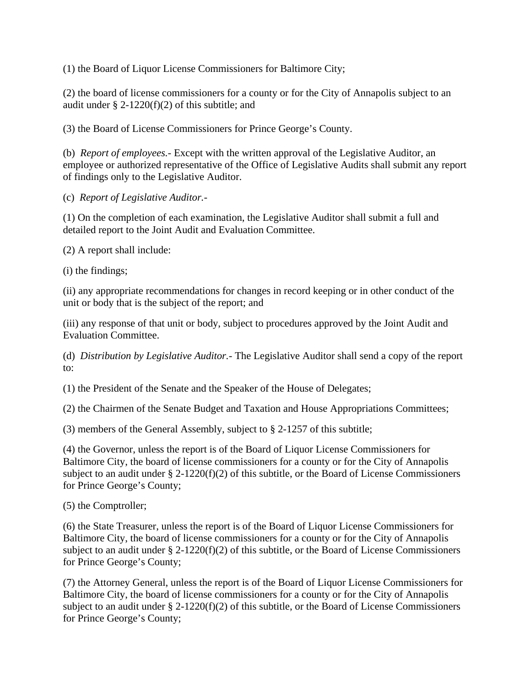(1) the Board of Liquor License Commissioners for Baltimore City;

(2) the board of license commissioners for a county or for the City of Annapolis subject to an audit under  $\S 2-1220(f)(2)$  of this subtitle; and

(3) the Board of License Commissioners for Prince George's County.

(b) *Report of employees.-* Except with the written approval of the Legislative Auditor, an employee or authorized representative of the Office of Legislative Audits shall submit any report of findings only to the Legislative Auditor.

(c) *Report of Legislative Auditor.-*

(1) On the completion of each examination, the Legislative Auditor shall submit a full and detailed report to the Joint Audit and Evaluation Committee.

(2) A report shall include:

(i) the findings;

(ii) any appropriate recommendations for changes in record keeping or in other conduct of the unit or body that is the subject of the report; and

(iii) any response of that unit or body, subject to procedures approved by the Joint Audit and Evaluation Committee.

(d) *Distribution by Legislative Auditor.-* The Legislative Auditor shall send a copy of the report to:

(1) the President of the Senate and the Speaker of the House of Delegates;

(2) the Chairmen of the Senate Budget and Taxation and House Appropriations Committees;

(3) members of the General Assembly, subject to § 2-1257 of this subtitle;

(4) the Governor, unless the report is of the Board of Liquor License Commissioners for Baltimore City, the board of license commissioners for a county or for the City of Annapolis subject to an audit under  $\S 2$ -1220(f)(2) of this subtitle, or the Board of License Commissioners for Prince George's County;

(5) the Comptroller;

(6) the State Treasurer, unless the report is of the Board of Liquor License Commissioners for Baltimore City, the board of license commissioners for a county or for the City of Annapolis subject to an audit under  $\S 2$ -1220(f)(2) of this subtitle, or the Board of License Commissioners for Prince George's County;

(7) the Attorney General, unless the report is of the Board of Liquor License Commissioners for Baltimore City, the board of license commissioners for a county or for the City of Annapolis subject to an audit under  $\S$  2-1220(f)(2) of this subtitle, or the Board of License Commissioners for Prince George's County;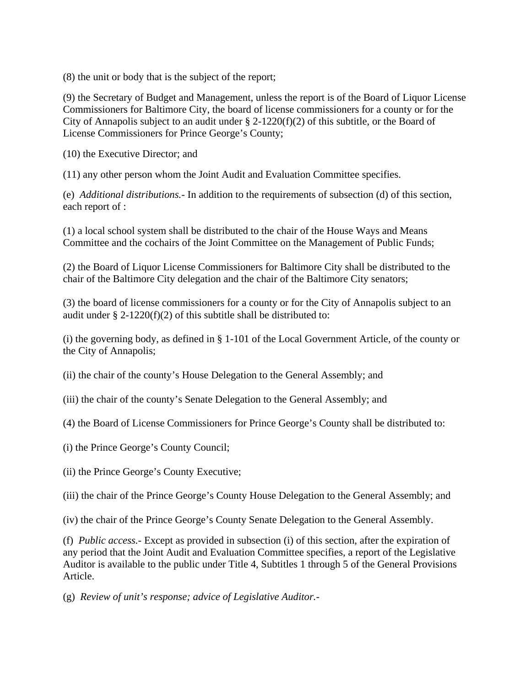(8) the unit or body that is the subject of the report;

(9) the Secretary of Budget and Management, unless the report is of the Board of Liquor License Commissioners for Baltimore City, the board of license commissioners for a county or for the City of Annapolis subject to an audit under  $\S$  2-1220(f)(2) of this subtitle, or the Board of License Commissioners for Prince George's County;

(10) the Executive Director; and

(11) any other person whom the Joint Audit and Evaluation Committee specifies.

(e) *Additional distributions.-* In addition to the requirements of subsection (d) of this section, each report of :

(1) a local school system shall be distributed to the chair of the House Ways and Means Committee and the cochairs of the Joint Committee on the Management of Public Funds;

(2) the Board of Liquor License Commissioners for Baltimore City shall be distributed to the chair of the Baltimore City delegation and the chair of the Baltimore City senators;

(3) the board of license commissioners for a county or for the City of Annapolis subject to an audit under § 2-1220(f)(2) of this subtitle shall be distributed to:

(i) the governing body, as defined in § 1-101 of the Local Government Article, of the county or the City of Annapolis;

(ii) the chair of the county's House Delegation to the General Assembly; and

(iii) the chair of the county's Senate Delegation to the General Assembly; and

(4) the Board of License Commissioners for Prince George's County shall be distributed to:

(i) the Prince George's County Council;

(ii) the Prince George's County Executive;

(iii) the chair of the Prince George's County House Delegation to the General Assembly; and

(iv) the chair of the Prince George's County Senate Delegation to the General Assembly.

(f) *Public access.-* Except as provided in subsection (i) of this section, after the expiration of any period that the Joint Audit and Evaluation Committee specifies, a report of the Legislative Auditor is available to the public under Title 4, Subtitles 1 through 5 of the General Provisions Article.

(g) *Review of unit's response; advice of Legislative Auditor.-*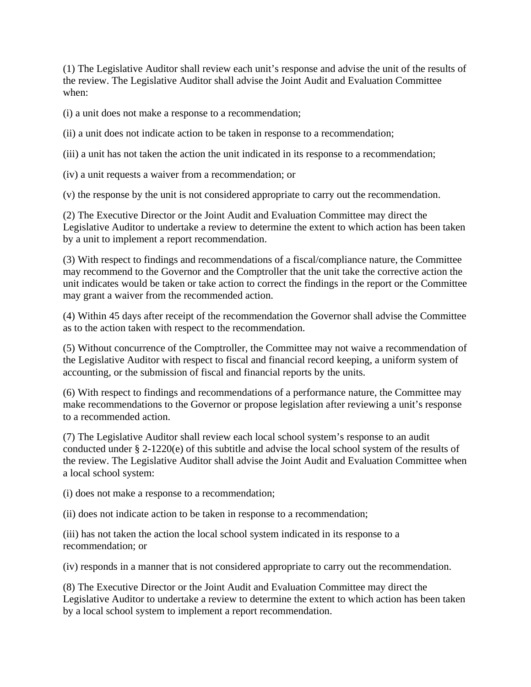(1) The Legislative Auditor shall review each unit's response and advise the unit of the results of the review. The Legislative Auditor shall advise the Joint Audit and Evaluation Committee when:

(i) a unit does not make a response to a recommendation;

(ii) a unit does not indicate action to be taken in response to a recommendation;

(iii) a unit has not taken the action the unit indicated in its response to a recommendation;

(iv) a unit requests a waiver from a recommendation; or

(v) the response by the unit is not considered appropriate to carry out the recommendation.

(2) The Executive Director or the Joint Audit and Evaluation Committee may direct the Legislative Auditor to undertake a review to determine the extent to which action has been taken by a unit to implement a report recommendation.

(3) With respect to findings and recommendations of a fiscal/compliance nature, the Committee may recommend to the Governor and the Comptroller that the unit take the corrective action the unit indicates would be taken or take action to correct the findings in the report or the Committee may grant a waiver from the recommended action.

(4) Within 45 days after receipt of the recommendation the Governor shall advise the Committee as to the action taken with respect to the recommendation.

(5) Without concurrence of the Comptroller, the Committee may not waive a recommendation of the Legislative Auditor with respect to fiscal and financial record keeping, a uniform system of accounting, or the submission of fiscal and financial reports by the units.

(6) With respect to findings and recommendations of a performance nature, the Committee may make recommendations to the Governor or propose legislation after reviewing a unit's response to a recommended action.

(7) The Legislative Auditor shall review each local school system's response to an audit conducted under § 2-1220(e) of this subtitle and advise the local school system of the results of the review. The Legislative Auditor shall advise the Joint Audit and Evaluation Committee when a local school system:

(i) does not make a response to a recommendation;

(ii) does not indicate action to be taken in response to a recommendation;

(iii) has not taken the action the local school system indicated in its response to a recommendation; or

(iv) responds in a manner that is not considered appropriate to carry out the recommendation.

(8) The Executive Director or the Joint Audit and Evaluation Committee may direct the Legislative Auditor to undertake a review to determine the extent to which action has been taken by a local school system to implement a report recommendation.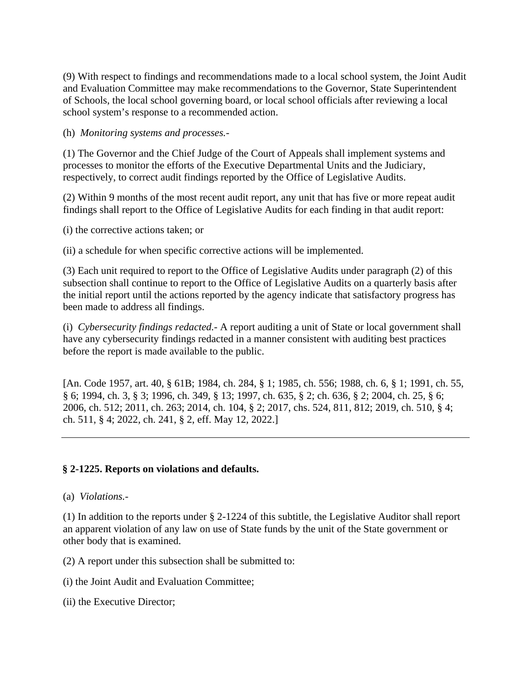(9) With respect to findings and recommendations made to a local school system, the Joint Audit and Evaluation Committee may make recommendations to the Governor, State Superintendent of Schools, the local school governing board, or local school officials after reviewing a local school system's response to a recommended action.

#### (h) *Monitoring systems and processes.-*

(1) The Governor and the Chief Judge of the Court of Appeals shall implement systems and processes to monitor the efforts of the Executive Departmental Units and the Judiciary, respectively, to correct audit findings reported by the Office of Legislative Audits.

(2) Within 9 months of the most recent audit report, any unit that has five or more repeat audit findings shall report to the Office of Legislative Audits for each finding in that audit report:

(i) the corrective actions taken; or

(ii) a schedule for when specific corrective actions will be implemented.

(3) Each unit required to report to the Office of Legislative Audits under paragraph (2) of this subsection shall continue to report to the Office of Legislative Audits on a quarterly basis after the initial report until the actions reported by the agency indicate that satisfactory progress has been made to address all findings.

(i) *Cybersecurity findings redacted.-* A report auditing a unit of State or local government shall have any cybersecurity findings redacted in a manner consistent with auditing best practices before the report is made available to the public.

[An. Code 1957, art. 40, § 61B; 1984, ch. 284, § 1; 1985, ch. 556; 1988, ch. 6, § 1; 1991, ch. 55, § 6; 1994, ch. 3, § 3; 1996, ch. 349, § 13; 1997, ch. 635, § 2; ch. 636, § 2; 2004, ch. 25, § 6; 2006, ch. 512; 2011, ch. 263; 2014, ch. 104, § 2; 2017, chs. 524, 811, 812; 2019, ch. 510, § 4; ch. 511, § 4; 2022, ch. 241, § 2, eff. May 12, 2022.]

# **§ 2-1225. Reports on violations and defaults.**

(a) *Violations.-*

(1) In addition to the reports under § 2-1224 of this subtitle, the Legislative Auditor shall report an apparent violation of any law on use of State funds by the unit of the State government or other body that is examined.

(2) A report under this subsection shall be submitted to:

(i) the Joint Audit and Evaluation Committee;

(ii) the Executive Director;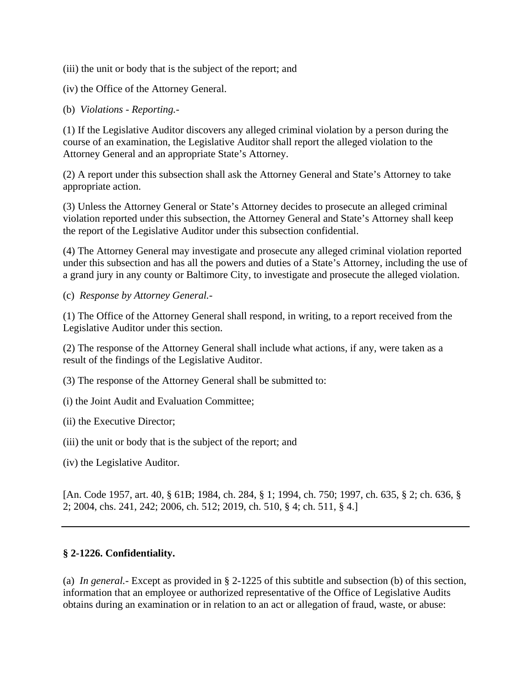(iii) the unit or body that is the subject of the report; and

(iv) the Office of the Attorney General.

(b) *Violations - Reporting.-*

(1) If the Legislative Auditor discovers any alleged criminal violation by a person during the course of an examination, the Legislative Auditor shall report the alleged violation to the Attorney General and an appropriate State's Attorney.

(2) A report under this subsection shall ask the Attorney General and State's Attorney to take appropriate action.

(3) Unless the Attorney General or State's Attorney decides to prosecute an alleged criminal violation reported under this subsection, the Attorney General and State's Attorney shall keep the report of the Legislative Auditor under this subsection confidential.

(4) The Attorney General may investigate and prosecute any alleged criminal violation reported under this subsection and has all the powers and duties of a State's Attorney, including the use of a grand jury in any county or Baltimore City, to investigate and prosecute the alleged violation.

(c) *Response by Attorney General.-*

(1) The Office of the Attorney General shall respond, in writing, to a report received from the Legislative Auditor under this section.

(2) The response of the Attorney General shall include what actions, if any, were taken as a result of the findings of the Legislative Auditor.

(3) The response of the Attorney General shall be submitted to:

(i) the Joint Audit and Evaluation Committee;

(ii) the Executive Director;

(iii) the unit or body that is the subject of the report; and

(iv) the Legislative Auditor.

[An. Code 1957, art. 40, § 61B; 1984, ch. 284, § 1; 1994, ch. 750; 1997, ch. 635, § 2; ch. 636, § 2; 2004, chs. 241, 242; 2006, ch. 512; 2019, ch. 510, § 4; ch. 511, § 4.]

# **§ 2-1226. Confidentiality.**

(a) *In general.-* Except as provided in § 2-1225 of this subtitle and subsection (b) of this section, information that an employee or authorized representative of the Office of Legislative Audits obtains during an examination or in relation to an act or allegation of fraud, waste, or abuse: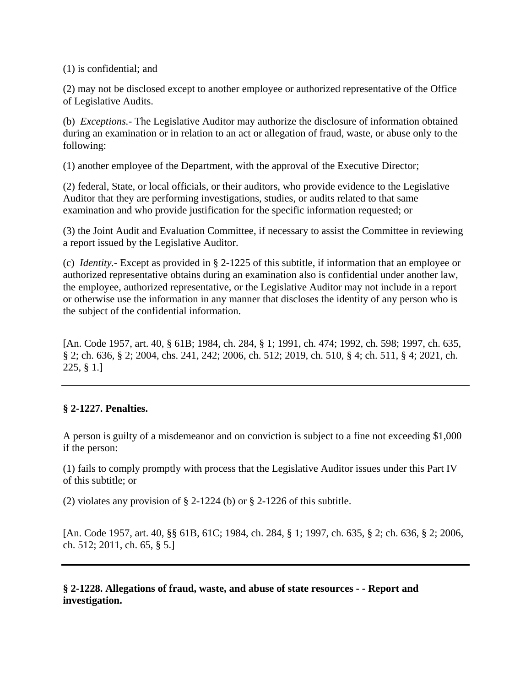(1) is confidential; and

(2) may not be disclosed except to another employee or authorized representative of the Office of Legislative Audits.

(b) *Exceptions.-* The Legislative Auditor may authorize the disclosure of information obtained during an examination or in relation to an act or allegation of fraud, waste, or abuse only to the following:

(1) another employee of the Department, with the approval of the Executive Director;

(2) federal, State, or local officials, or their auditors, who provide evidence to the Legislative Auditor that they are performing investigations, studies, or audits related to that same examination and who provide justification for the specific information requested; or

(3) the Joint Audit and Evaluation Committee, if necessary to assist the Committee in reviewing a report issued by the Legislative Auditor.

(c) *Identity.-* Except as provided in § 2-1225 of this subtitle, if information that an employee or authorized representative obtains during an examination also is confidential under another law, the employee, authorized representative, or the Legislative Auditor may not include in a report or otherwise use the information in any manner that discloses the identity of any person who is the subject of the confidential information.

[An. Code 1957, art. 40, § 61B; 1984, ch. 284, § 1; 1991, ch. 474; 1992, ch. 598; 1997, ch. 635, § 2; ch. 636, § 2; 2004, chs. 241, 242; 2006, ch. 512; 2019, ch. 510, § 4; ch. 511, § 4; 2021, ch. 225, § 1.]

# **§ 2-1227. Penalties.**

A person is guilty of a misdemeanor and on conviction is subject to a fine not exceeding \$1,000 if the person:

(1) fails to comply promptly with process that the Legislative Auditor issues under this Part IV of this subtitle; or

(2) violates any provision of  $\S$  2-1224 (b) or  $\S$  2-1226 of this subtitle.

[An. Code 1957, art. 40, §§ 61B, 61C; 1984, ch. 284, § 1; 1997, ch. 635, § 2; ch. 636, § 2; 2006, ch. 512; 2011, ch. 65, § 5.]

**§ 2-1228. Allegations of fraud, waste, and abuse of state resources - - Report and investigation.**